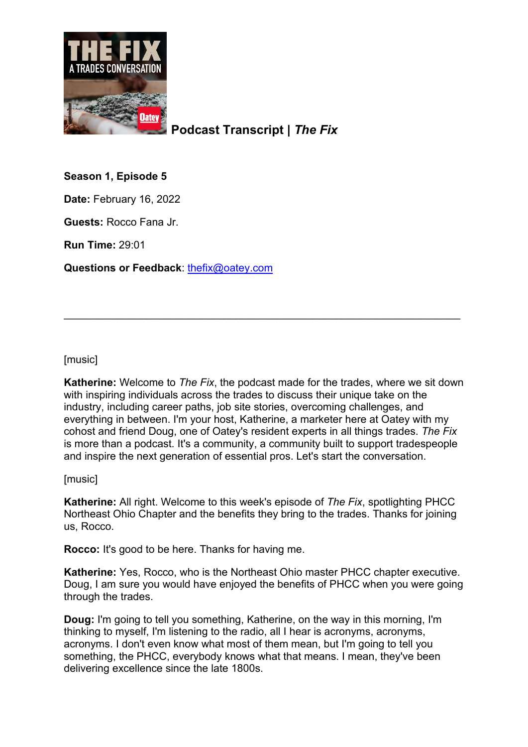

**Podcast Transcript |** *The Fix*

**Season 1, Episode 5**

**Date:** February 16, 2022

**Guests:** Rocco Fana Jr.

**Run Time:** 29:01

**Questions or Feedback**: [thefix@oatey.com](mailto:thefix@oatey.com)

[music]

**Katherine:** Welcome to *The Fix*, the podcast made for the trades, where we sit down with inspiring individuals across the trades to discuss their unique take on the industry, including career paths, job site stories, overcoming challenges, and everything in between. I'm your host, Katherine, a marketer here at Oatey with my cohost and friend Doug, one of Oatey's resident experts in all things trades. *The Fix* is more than a podcast. It's a community, a community built to support tradespeople and inspire the next generation of essential pros. Let's start the conversation.

\_\_\_\_\_\_\_\_\_\_\_\_\_\_\_\_\_\_\_\_\_\_\_\_\_\_\_\_\_\_\_\_\_\_\_\_\_\_\_\_\_\_\_\_\_\_\_\_\_\_\_\_\_\_\_\_\_\_\_\_\_\_\_\_\_\_\_

[music]

**Katherine:** All right. Welcome to this week's episode of *The Fix*, spotlighting PHCC Northeast Ohio Chapter and the benefits they bring to the trades. Thanks for joining us, Rocco.

**Rocco:** It's good to be here. Thanks for having me.

**Katherine:** Yes, Rocco, who is the Northeast Ohio master PHCC chapter executive. Doug, I am sure you would have enjoyed the benefits of PHCC when you were going through the trades.

**Doug:** I'm going to tell you something, Katherine, on the way in this morning, I'm thinking to myself, I'm listening to the radio, all I hear is acronyms, acronyms, acronyms. I don't even know what most of them mean, but I'm going to tell you something, the PHCC, everybody knows what that means. I mean, they've been delivering excellence since the late 1800s.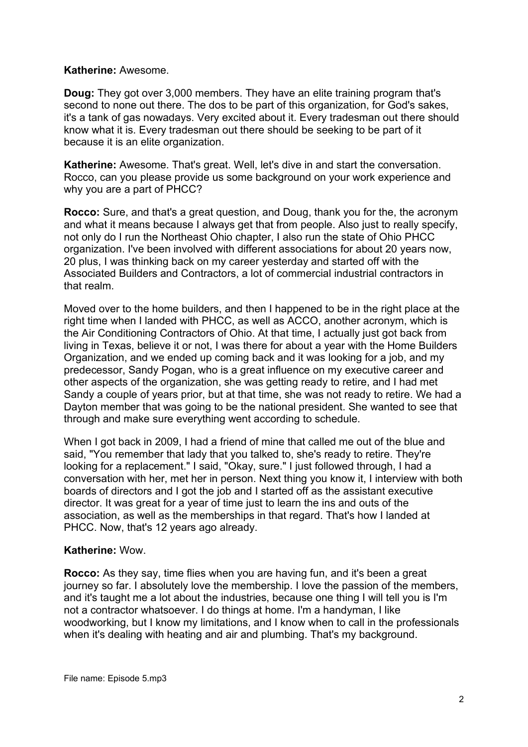#### **Katherine:** Awesome.

**Doug:** They got over 3,000 members. They have an elite training program that's second to none out there. The dos to be part of this organization, for God's sakes, it's a tank of gas nowadays. Very excited about it. Every tradesman out there should know what it is. Every tradesman out there should be seeking to be part of it because it is an elite organization.

**Katherine:** Awesome. That's great. Well, let's dive in and start the conversation. Rocco, can you please provide us some background on your work experience and why you are a part of PHCC?

**Rocco:** Sure, and that's a great question, and Doug, thank you for the, the acronym and what it means because I always get that from people. Also just to really specify, not only do I run the Northeast Ohio chapter, I also run the state of Ohio PHCC organization. I've been involved with different associations for about 20 years now, 20 plus, I was thinking back on my career yesterday and started off with the Associated Builders and Contractors, a lot of commercial industrial contractors in that realm.

Moved over to the home builders, and then I happened to be in the right place at the right time when I landed with PHCC, as well as ACCO, another acronym, which is the Air Conditioning Contractors of Ohio. At that time, I actually just got back from living in Texas, believe it or not, I was there for about a year with the Home Builders Organization, and we ended up coming back and it was looking for a job, and my predecessor, Sandy Pogan, who is a great influence on my executive career and other aspects of the organization, she was getting ready to retire, and I had met Sandy a couple of years prior, but at that time, she was not ready to retire. We had a Dayton member that was going to be the national president. She wanted to see that through and make sure everything went according to schedule.

When I got back in 2009, I had a friend of mine that called me out of the blue and said, "You remember that lady that you talked to, she's ready to retire. They're looking for a replacement." I said, "Okay, sure." I just followed through, I had a conversation with her, met her in person. Next thing you know it, I interview with both boards of directors and I got the job and I started off as the assistant executive director. It was great for a year of time just to learn the ins and outs of the association, as well as the memberships in that regard. That's how I landed at PHCC. Now, that's 12 years ago already.

# **Katherine:** Wow.

**Rocco:** As they say, time flies when you are having fun, and it's been a great journey so far. I absolutely love the membership. I love the passion of the members, and it's taught me a lot about the industries, because one thing I will tell you is I'm not a contractor whatsoever. I do things at home. I'm a handyman, I like woodworking, but I know my limitations, and I know when to call in the professionals when it's dealing with heating and air and plumbing. That's my background.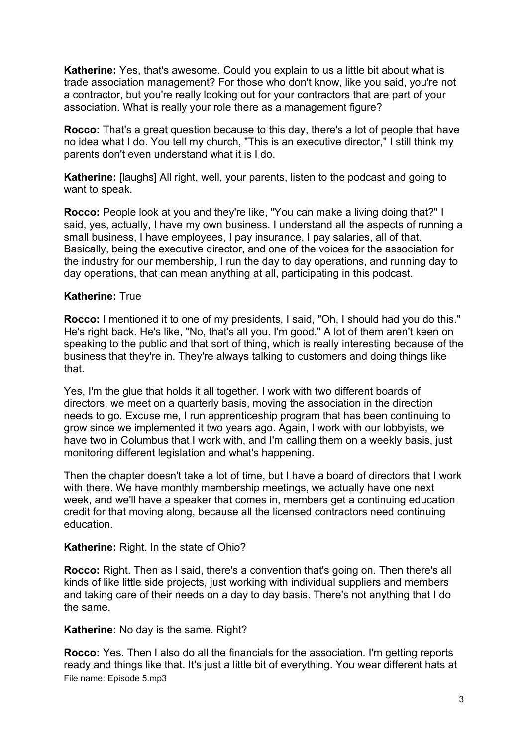**Katherine:** Yes, that's awesome. Could you explain to us a little bit about what is trade association management? For those who don't know, like you said, you're not a contractor, but you're really looking out for your contractors that are part of your association. What is really your role there as a management figure?

**Rocco:** That's a great question because to this day, there's a lot of people that have no idea what I do. You tell my church, "This is an executive director," I still think my parents don't even understand what it is I do.

**Katherine:** [laughs] All right, well, your parents, listen to the podcast and going to want to speak.

**Rocco:** People look at you and they're like, "You can make a living doing that?" I said, yes, actually, I have my own business. I understand all the aspects of running a small business, I have employees, I pay insurance, I pay salaries, all of that. Basically, being the executive director, and one of the voices for the association for the industry for our membership, I run the day to day operations, and running day to day operations, that can mean anything at all, participating in this podcast.

#### **Katherine:** True

**Rocco:** I mentioned it to one of my presidents, I said, "Oh, I should had you do this." He's right back. He's like, "No, that's all you. I'm good." A lot of them aren't keen on speaking to the public and that sort of thing, which is really interesting because of the business that they're in. They're always talking to customers and doing things like that.

Yes, I'm the glue that holds it all together. I work with two different boards of directors, we meet on a quarterly basis, moving the association in the direction needs to go. Excuse me, I run apprenticeship program that has been continuing to grow since we implemented it two years ago. Again, I work with our lobbyists, we have two in Columbus that I work with, and I'm calling them on a weekly basis, just monitoring different legislation and what's happening.

Then the chapter doesn't take a lot of time, but I have a board of directors that I work with there. We have monthly membership meetings, we actually have one next week, and we'll have a speaker that comes in, members get a continuing education credit for that moving along, because all the licensed contractors need continuing education.

#### **Katherine:** Right. In the state of Ohio?

**Rocco:** Right. Then as I said, there's a convention that's going on. Then there's all kinds of like little side projects, just working with individual suppliers and members and taking care of their needs on a day to day basis. There's not anything that I do the same.

**Katherine:** No day is the same. Right?

File name: Episode 5.mp3 **Rocco:** Yes. Then I also do all the financials for the association. I'm getting reports ready and things like that. It's just a little bit of everything. You wear different hats at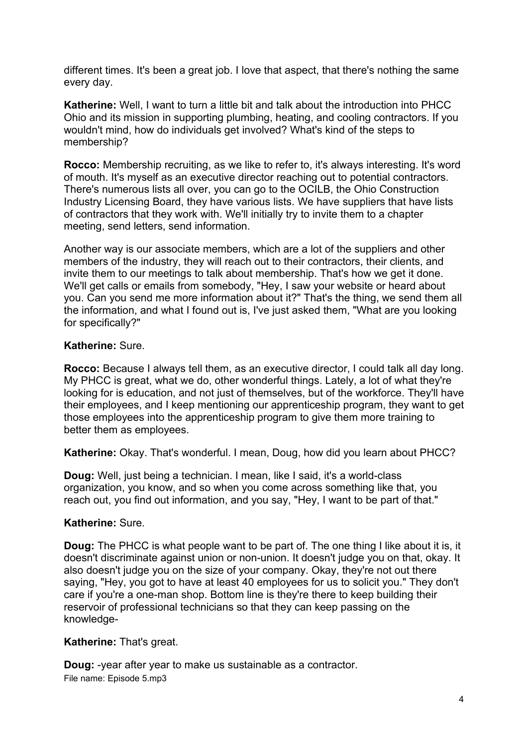different times. It's been a great job. I love that aspect, that there's nothing the same every day.

**Katherine:** Well, I want to turn a little bit and talk about the introduction into PHCC Ohio and its mission in supporting plumbing, heating, and cooling contractors. If you wouldn't mind, how do individuals get involved? What's kind of the steps to membership?

**Rocco:** Membership recruiting, as we like to refer to, it's always interesting. It's word of mouth. It's myself as an executive director reaching out to potential contractors. There's numerous lists all over, you can go to the OCILB, the Ohio Construction Industry Licensing Board, they have various lists. We have suppliers that have lists of contractors that they work with. We'll initially try to invite them to a chapter meeting, send letters, send information.

Another way is our associate members, which are a lot of the suppliers and other members of the industry, they will reach out to their contractors, their clients, and invite them to our meetings to talk about membership. That's how we get it done. We'll get calls or emails from somebody, "Hey, I saw your website or heard about you. Can you send me more information about it?" That's the thing, we send them all the information, and what I found out is, I've just asked them, "What are you looking for specifically?"

# **Katherine:** Sure.

**Rocco:** Because I always tell them, as an executive director, I could talk all day long. My PHCC is great, what we do, other wonderful things. Lately, a lot of what they're looking for is education, and not just of themselves, but of the workforce. They'll have their employees, and I keep mentioning our apprenticeship program, they want to get those employees into the apprenticeship program to give them more training to better them as employees.

**Katherine:** Okay. That's wonderful. I mean, Doug, how did you learn about PHCC?

**Doug:** Well, just being a technician. I mean, like I said, it's a world-class organization, you know, and so when you come across something like that, you reach out, you find out information, and you say, "Hey, I want to be part of that."

# **Katherine:** Sure.

**Doug:** The PHCC is what people want to be part of. The one thing I like about it is, it doesn't discriminate against union or non-union. It doesn't judge you on that, okay. It also doesn't judge you on the size of your company. Okay, they're not out there saying, "Hey, you got to have at least 40 employees for us to solicit you." They don't care if you're a one-man shop. Bottom line is they're there to keep building their reservoir of professional technicians so that they can keep passing on the knowledge-

# **Katherine:** That's great.

File name: Episode 5.mp3 **Doug:** -year after year to make us sustainable as a contractor.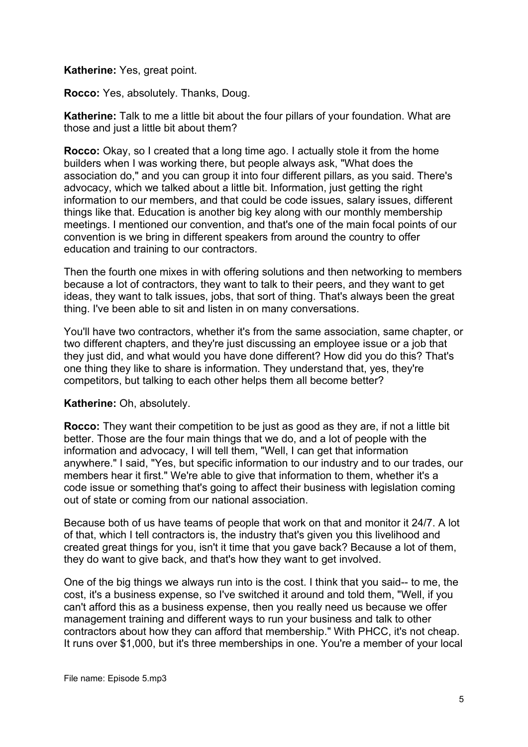#### **Katherine:** Yes, great point.

**Rocco:** Yes, absolutely. Thanks, Doug.

**Katherine:** Talk to me a little bit about the four pillars of your foundation. What are those and just a little bit about them?

**Rocco:** Okay, so I created that a long time ago. I actually stole it from the home builders when I was working there, but people always ask, "What does the association do," and you can group it into four different pillars, as you said. There's advocacy, which we talked about a little bit. Information, just getting the right information to our members, and that could be code issues, salary issues, different things like that. Education is another big key along with our monthly membership meetings. I mentioned our convention, and that's one of the main focal points of our convention is we bring in different speakers from around the country to offer education and training to our contractors.

Then the fourth one mixes in with offering solutions and then networking to members because a lot of contractors, they want to talk to their peers, and they want to get ideas, they want to talk issues, jobs, that sort of thing. That's always been the great thing. I've been able to sit and listen in on many conversations.

You'll have two contractors, whether it's from the same association, same chapter, or two different chapters, and they're just discussing an employee issue or a job that they just did, and what would you have done different? How did you do this? That's one thing they like to share is information. They understand that, yes, they're competitors, but talking to each other helps them all become better?

# **Katherine:** Oh, absolutely.

**Rocco:** They want their competition to be just as good as they are, if not a little bit better. Those are the four main things that we do, and a lot of people with the information and advocacy, I will tell them, "Well, I can get that information anywhere." I said, "Yes, but specific information to our industry and to our trades, our members hear it first." We're able to give that information to them, whether it's a code issue or something that's going to affect their business with legislation coming out of state or coming from our national association.

Because both of us have teams of people that work on that and monitor it 24/7. A lot of that, which I tell contractors is, the industry that's given you this livelihood and created great things for you, isn't it time that you gave back? Because a lot of them, they do want to give back, and that's how they want to get involved.

One of the big things we always run into is the cost. I think that you said-- to me, the cost, it's a business expense, so I've switched it around and told them, "Well, if you can't afford this as a business expense, then you really need us because we offer management training and different ways to run your business and talk to other contractors about how they can afford that membership." With PHCC, it's not cheap. It runs over \$1,000, but it's three memberships in one. You're a member of your local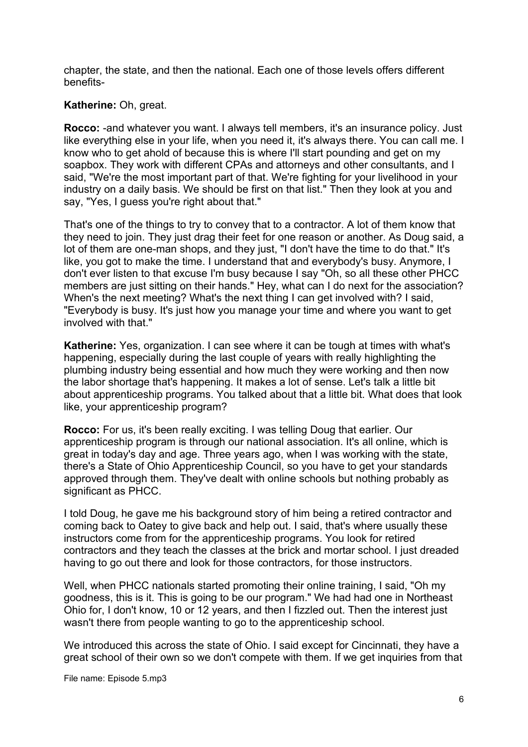chapter, the state, and then the national. Each one of those levels offers different benefits-

#### **Katherine:** Oh, great.

**Rocco:** -and whatever you want. I always tell members, it's an insurance policy. Just like everything else in your life, when you need it, it's always there. You can call me. I know who to get ahold of because this is where I'll start pounding and get on my soapbox. They work with different CPAs and attorneys and other consultants, and I said, "We're the most important part of that. We're fighting for your livelihood in your industry on a daily basis. We should be first on that list." Then they look at you and say, "Yes, I guess you're right about that."

That's one of the things to try to convey that to a contractor. A lot of them know that they need to join. They just drag their feet for one reason or another. As Doug said, a lot of them are one-man shops, and they just, "I don't have the time to do that." It's like, you got to make the time. I understand that and everybody's busy. Anymore, I don't ever listen to that excuse I'm busy because I say "Oh, so all these other PHCC members are just sitting on their hands." Hey, what can I do next for the association? When's the next meeting? What's the next thing I can get involved with? I said, "Everybody is busy. It's just how you manage your time and where you want to get involved with that."

**Katherine:** Yes, organization. I can see where it can be tough at times with what's happening, especially during the last couple of years with really highlighting the plumbing industry being essential and how much they were working and then now the labor shortage that's happening. It makes a lot of sense. Let's talk a little bit about apprenticeship programs. You talked about that a little bit. What does that look like, your apprenticeship program?

**Rocco:** For us, it's been really exciting. I was telling Doug that earlier. Our apprenticeship program is through our national association. It's all online, which is great in today's day and age. Three years ago, when I was working with the state, there's a State of Ohio Apprenticeship Council, so you have to get your standards approved through them. They've dealt with online schools but nothing probably as significant as PHCC.

I told Doug, he gave me his background story of him being a retired contractor and coming back to Oatey to give back and help out. I said, that's where usually these instructors come from for the apprenticeship programs. You look for retired contractors and they teach the classes at the brick and mortar school. I just dreaded having to go out there and look for those contractors, for those instructors.

Well, when PHCC nationals started promoting their online training, I said, "Oh my goodness, this is it. This is going to be our program." We had had one in Northeast Ohio for, I don't know, 10 or 12 years, and then I fizzled out. Then the interest just wasn't there from people wanting to go to the apprenticeship school.

We introduced this across the state of Ohio. I said except for Cincinnati, they have a great school of their own so we don't compete with them. If we get inquiries from that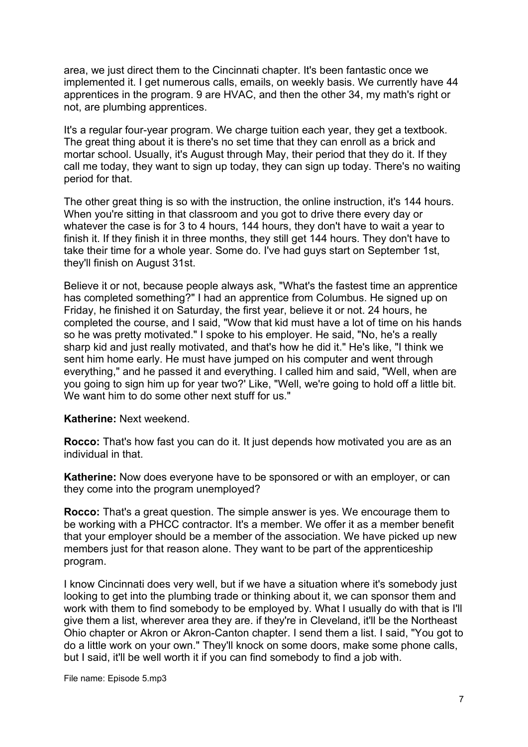area, we just direct them to the Cincinnati chapter. It's been fantastic once we implemented it. I get numerous calls, emails, on weekly basis. We currently have 44 apprentices in the program. 9 are HVAC, and then the other 34, my math's right or not, are plumbing apprentices.

It's a regular four-year program. We charge tuition each year, they get a textbook. The great thing about it is there's no set time that they can enroll as a brick and mortar school. Usually, it's August through May, their period that they do it. If they call me today, they want to sign up today, they can sign up today. There's no waiting period for that.

The other great thing is so with the instruction, the online instruction, it's 144 hours. When you're sitting in that classroom and you got to drive there every day or whatever the case is for 3 to 4 hours, 144 hours, they don't have to wait a year to finish it. If they finish it in three months, they still get 144 hours. They don't have to take their time for a whole year. Some do. I've had guys start on September 1st, they'll finish on August 31st.

Believe it or not, because people always ask, "What's the fastest time an apprentice has completed something?" I had an apprentice from Columbus. He signed up on Friday, he finished it on Saturday, the first year, believe it or not. 24 hours, he completed the course, and I said, "Wow that kid must have a lot of time on his hands so he was pretty motivated." I spoke to his employer. He said, "No, he's a really sharp kid and just really motivated, and that's how he did it." He's like, "I think we sent him home early. He must have jumped on his computer and went through everything," and he passed it and everything. I called him and said, "Well, when are you going to sign him up for year two?' Like, "Well, we're going to hold off a little bit. We want him to do some other next stuff for us."

#### **Katherine:** Next weekend.

**Rocco:** That's how fast you can do it. It just depends how motivated you are as an individual in that.

**Katherine:** Now does everyone have to be sponsored or with an employer, or can they come into the program unemployed?

**Rocco:** That's a great question. The simple answer is yes. We encourage them to be working with a PHCC contractor. It's a member. We offer it as a member benefit that your employer should be a member of the association. We have picked up new members just for that reason alone. They want to be part of the apprenticeship program.

I know Cincinnati does very well, but if we have a situation where it's somebody just looking to get into the plumbing trade or thinking about it, we can sponsor them and work with them to find somebody to be employed by. What I usually do with that is I'll give them a list, wherever area they are. if they're in Cleveland, it'll be the Northeast Ohio chapter or Akron or Akron-Canton chapter. I send them a list. I said, "You got to do a little work on your own." They'll knock on some doors, make some phone calls, but I said, it'll be well worth it if you can find somebody to find a job with.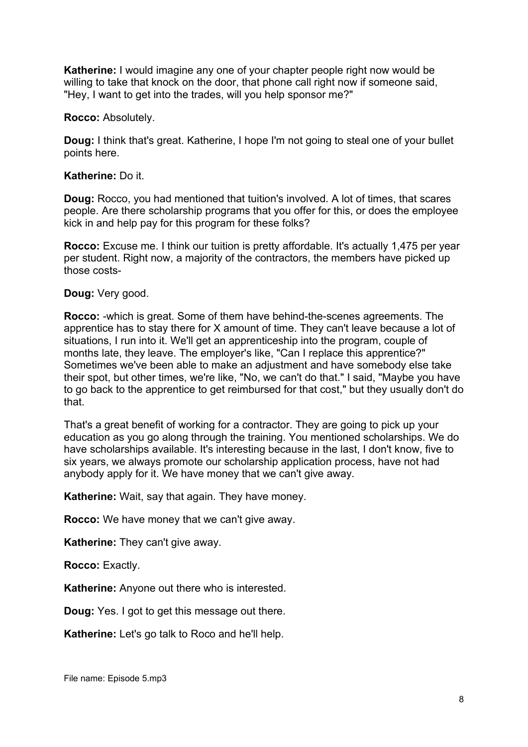**Katherine:** I would imagine any one of your chapter people right now would be willing to take that knock on the door, that phone call right now if someone said, "Hey, I want to get into the trades, will you help sponsor me?"

**Rocco:** Absolutely.

**Doug:** I think that's great. Katherine, I hope I'm not going to steal one of your bullet points here.

#### **Katherine:** Do it.

**Doug:** Rocco, you had mentioned that tuition's involved. A lot of times, that scares people. Are there scholarship programs that you offer for this, or does the employee kick in and help pay for this program for these folks?

**Rocco:** Excuse me. I think our tuition is pretty affordable. It's actually 1,475 per year per student. Right now, a majority of the contractors, the members have picked up those costs-

**Doug:** Very good.

**Rocco:** -which is great. Some of them have behind-the-scenes agreements. The apprentice has to stay there for X amount of time. They can't leave because a lot of situations, I run into it. We'll get an apprenticeship into the program, couple of months late, they leave. The employer's like, "Can I replace this apprentice?" Sometimes we've been able to make an adjustment and have somebody else take their spot, but other times, we're like, "No, we can't do that." I said, "Maybe you have to go back to the apprentice to get reimbursed for that cost," but they usually don't do that.

That's a great benefit of working for a contractor. They are going to pick up your education as you go along through the training. You mentioned scholarships. We do have scholarships available. It's interesting because in the last, I don't know, five to six years, we always promote our scholarship application process, have not had anybody apply for it. We have money that we can't give away.

**Katherine:** Wait, say that again. They have money.

**Rocco:** We have money that we can't give away.

**Katherine:** They can't give away.

**Rocco:** Exactly.

**Katherine:** Anyone out there who is interested.

**Doug:** Yes. I got to get this message out there.

**Katherine:** Let's go talk to Roco and he'll help.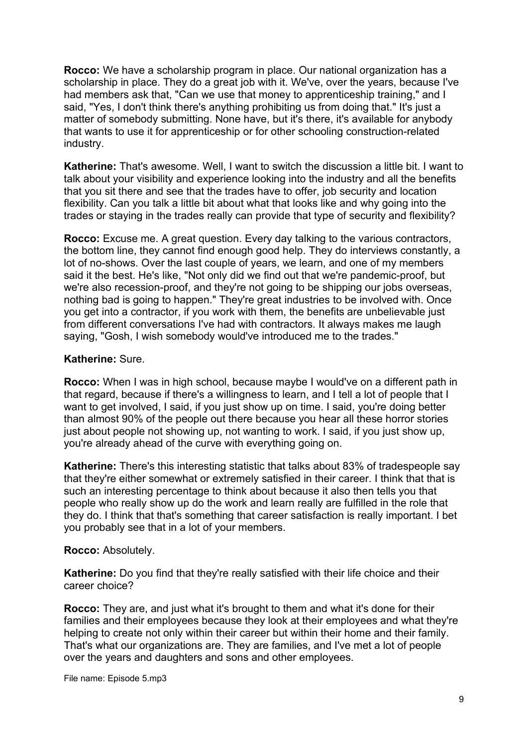**Rocco:** We have a scholarship program in place. Our national organization has a scholarship in place. They do a great job with it. We've, over the years, because I've had members ask that, "Can we use that money to apprenticeship training," and I said, "Yes, I don't think there's anything prohibiting us from doing that." It's just a matter of somebody submitting. None have, but it's there, it's available for anybody that wants to use it for apprenticeship or for other schooling construction-related industry.

**Katherine:** That's awesome. Well, I want to switch the discussion a little bit. I want to talk about your visibility and experience looking into the industry and all the benefits that you sit there and see that the trades have to offer, job security and location flexibility. Can you talk a little bit about what that looks like and why going into the trades or staying in the trades really can provide that type of security and flexibility?

**Rocco:** Excuse me. A great question. Every day talking to the various contractors, the bottom line, they cannot find enough good help. They do interviews constantly, a lot of no-shows. Over the last couple of years, we learn, and one of my members said it the best. He's like, "Not only did we find out that we're pandemic-proof, but we're also recession-proof, and they're not going to be shipping our jobs overseas, nothing bad is going to happen." They're great industries to be involved with. Once you get into a contractor, if you work with them, the benefits are unbelievable just from different conversations I've had with contractors. It always makes me laugh saying, "Gosh, I wish somebody would've introduced me to the trades."

# **Katherine:** Sure.

**Rocco:** When I was in high school, because maybe I would've on a different path in that regard, because if there's a willingness to learn, and I tell a lot of people that I want to get involved, I said, if you just show up on time. I said, you're doing better than almost 90% of the people out there because you hear all these horror stories just about people not showing up, not wanting to work. I said, if you just show up, you're already ahead of the curve with everything going on.

**Katherine:** There's this interesting statistic that talks about 83% of tradespeople say that they're either somewhat or extremely satisfied in their career. I think that that is such an interesting percentage to think about because it also then tells you that people who really show up do the work and learn really are fulfilled in the role that they do. I think that that's something that career satisfaction is really important. I bet you probably see that in a lot of your members.

# **Rocco:** Absolutely.

**Katherine:** Do you find that they're really satisfied with their life choice and their career choice?

**Rocco:** They are, and just what it's brought to them and what it's done for their families and their employees because they look at their employees and what they're helping to create not only within their career but within their home and their family. That's what our organizations are. They are families, and I've met a lot of people over the years and daughters and sons and other employees.

File name: Episode 5.mp3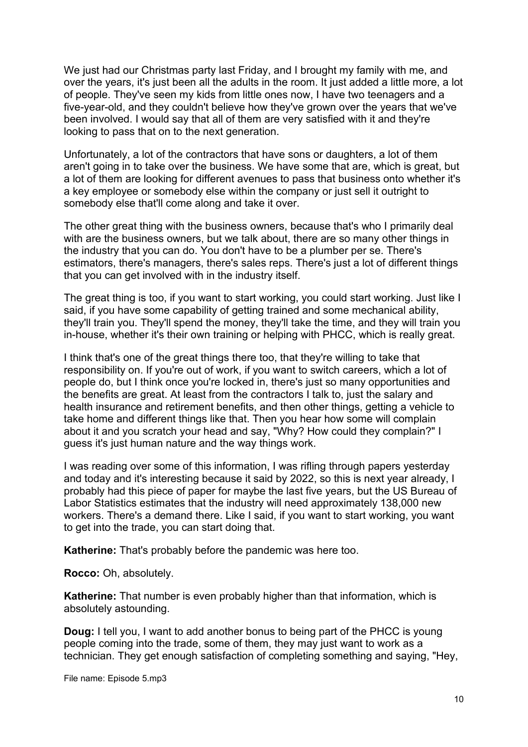We just had our Christmas party last Friday, and I brought my family with me, and over the years, it's just been all the adults in the room. It just added a little more, a lot of people. They've seen my kids from little ones now, I have two teenagers and a five-year-old, and they couldn't believe how they've grown over the years that we've been involved. I would say that all of them are very satisfied with it and they're looking to pass that on to the next generation.

Unfortunately, a lot of the contractors that have sons or daughters, a lot of them aren't going in to take over the business. We have some that are, which is great, but a lot of them are looking for different avenues to pass that business onto whether it's a key employee or somebody else within the company or just sell it outright to somebody else that'll come along and take it over.

The other great thing with the business owners, because that's who I primarily deal with are the business owners, but we talk about, there are so many other things in the industry that you can do. You don't have to be a plumber per se. There's estimators, there's managers, there's sales reps. There's just a lot of different things that you can get involved with in the industry itself.

The great thing is too, if you want to start working, you could start working. Just like I said, if you have some capability of getting trained and some mechanical ability, they'll train you. They'll spend the money, they'll take the time, and they will train you in-house, whether it's their own training or helping with PHCC, which is really great.

I think that's one of the great things there too, that they're willing to take that responsibility on. If you're out of work, if you want to switch careers, which a lot of people do, but I think once you're locked in, there's just so many opportunities and the benefits are great. At least from the contractors I talk to, just the salary and health insurance and retirement benefits, and then other things, getting a vehicle to take home and different things like that. Then you hear how some will complain about it and you scratch your head and say, "Why? How could they complain?" I guess it's just human nature and the way things work.

I was reading over some of this information, I was rifling through papers yesterday and today and it's interesting because it said by 2022, so this is next year already, I probably had this piece of paper for maybe the last five years, but the US Bureau of Labor Statistics estimates that the industry will need approximately 138,000 new workers. There's a demand there. Like I said, if you want to start working, you want to get into the trade, you can start doing that.

**Katherine:** That's probably before the pandemic was here too.

**Rocco:** Oh, absolutely.

**Katherine:** That number is even probably higher than that information, which is absolutely astounding.

**Doug:** I tell you, I want to add another bonus to being part of the PHCC is young people coming into the trade, some of them, they may just want to work as a technician. They get enough satisfaction of completing something and saying, "Hey,

File name: Episode 5.mp3